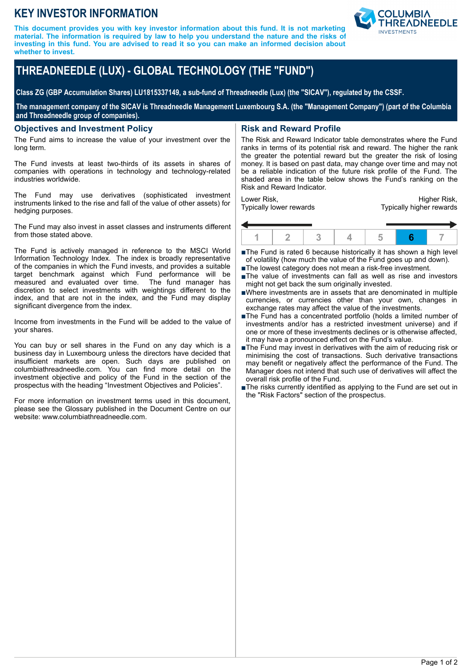## **KEY INVESTOR INFORMATION**

**This document provides you with key investor information about this fund. It is not marketing material. The information is required by law to help you understand the nature and the risks of investing in this fund. You are advised to read it so you can make an informed decision about whether to invest.**



# **THREADNEEDLE (LUX) - GLOBAL TECHNOLOGY (THE "FUND")**

**Class ZG (GBP Accumulation Shares) LU1815337149, a sub-fund of Threadneedle (Lux) (the "SICAV"), regulated by the CSSF.**

**The management company of the SICAV is Threadneedle Management Luxembourg S.A. (the "Management Company") (part of the Columbia and Threadneedle group of companies).**

#### **Objectives and Investment Policy**

The Fund aims to increase the value of your investment over the long term.

The Fund invests at least two-thirds of its assets in shares of companies with operations in technology and technology-related industries worldwide.

The Fund may use derivatives (sophisticated investment instruments linked to the rise and fall of the value of other assets) for hedging purposes.

The Fund may also invest in asset classes and instruments different from those stated above.

The Fund is actively managed in reference to the MSCI World Information Technology Index. The index is broadly representative of the companies in which the Fund invests, and provides a suitable target benchmark against which Fund performance will be measured and evaluated over time. The fund manager has measured and evaluated over time. discretion to select investments with weightings different to the index, and that are not in the index, and the Fund may display significant divergence from the index.

Income from investments in the Fund will be added to the value of your shares.

You can buy or sell shares in the Fund on any day which is a business day in Luxembourg unless the directors have decided that insufficient markets are open. Such days are published on columbiathreadneedle.com. You can find more detail on the investment objective and policy of the Fund in the section of the prospectus with the heading "Investment Objectives and Policies".

For more information on investment terms used in this document, please see the Glossary published in the Document Centre on our website: www.columbiathreadneedle.com.

## **Risk and Reward Profile**

The Risk and Reward Indicator table demonstrates where the Fund ranks in terms of its potential risk and reward. The higher the rank the greater the potential reward but the greater the risk of losing money. It is based on past data, may change over time and may not be a reliable indication of the future risk profile of the Fund. The shaded area in the table below shows the Fund's ranking on the Risk and Reward Indicator.

Lower Risk, Typically lower rewards

Higher Risk, Typically higher rewards



■The Fund is rated 6 because historically it has shown a high level of volatility (how much the value of the Fund goes up and down).

- ■The lowest category does not mean a risk-free investment.
- nThe value of investments can fall as well as rise and investors might not get back the sum originally invested.
- nWhere investments are in assets that are denominated in multiple currencies, or currencies other than your own, changes in exchange rates may affect the value of the investments.
- ■The Fund has a concentrated portfolio (holds a limited number of investments and/or has a restricted investment universe) and if one or more of these investments declines or is otherwise affected, it may have a pronounced effect on the Fund's value.
- $\blacksquare$  The Fund may invest in derivatives with the aim of reducing risk or minimising the cost of transactions. Such derivative transactions may benefit or negatively affect the performance of the Fund. The Manager does not intend that such use of derivatives will affect the overall risk profile of the Fund.
- ■The risks currently identified as applying to the Fund are set out in the "Risk Factors" section of the prospectus.